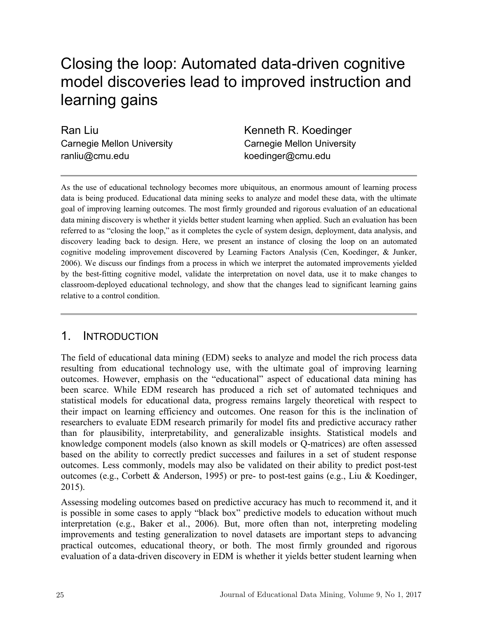# Closing the loop: Automated data-driven cognitive model discoveries lead to improved instruction and learning gains

Ran Liu Carnegie Mellon University ranliu@cmu.edu

Kenneth R. Koedinger Carnegie Mellon University koedinger@cmu.edu

As the use of educational technology becomes more ubiquitous, an enormous amount of learning process data is being produced. Educational data mining seeks to analyze and model these data, with the ultimate goal of improving learning outcomes. The most firmly grounded and rigorous evaluation of an educational data mining discovery is whether it yields better student learning when applied. Such an evaluation has been referred to as "closing the loop," as it completes the cycle of system design, deployment, data analysis, and discovery leading back to design. Here, we present an instance of closing the loop on an automated cognitive modeling improvement discovered by Learning Factors Analysis (Cen, Koedinger, & Junker, 2006). We discuss our findings from a process in which we interpret the automated improvements yielded by the best-fitting cognitive model, validate the interpretation on novel data, use it to make changes to classroom-deployed educational technology, and show that the changes lead to significant learning gains relative to a control condition.

#### 1. INTRODUCTION

The field of educational data mining (EDM) seeks to analyze and model the rich process data resulting from educational technology use, with the ultimate goal of improving learning outcomes. However, emphasis on the "educational" aspect of educational data mining has been scarce. While EDM research has produced a rich set of automated techniques and statistical models for educational data, progress remains largely theoretical with respect to their impact on learning efficiency and outcomes. One reason for this is the inclination of researchers to evaluate EDM research primarily for model fits and predictive accuracy rather than for plausibility, interpretability, and generalizable insights. Statistical models and knowledge component models (also known as skill models or Q-matrices) are often assessed based on the ability to correctly predict successes and failures in a set of student response outcomes. Less commonly, models may also be validated on their ability to predict post-test outcomes (e.g., Corbett & Anderson, 1995) or pre- to post-test gains (e.g., Liu & Koedinger, 2015).

Assessing modeling outcomes based on predictive accuracy has much to recommend it, and it is possible in some cases to apply "black box" predictive models to education without much interpretation (e.g., Baker et al., 2006). But, more often than not, interpreting modeling improvements and testing generalization to novel datasets are important steps to advancing practical outcomes, educational theory, or both. The most firmly grounded and rigorous evaluation of a data-driven discovery in EDM is whether it yields better student learning when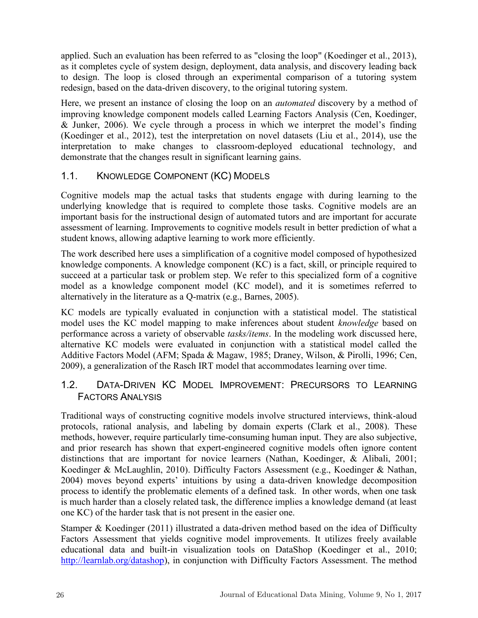applied. Such an evaluation has been referred to as "closing the loop" (Koedinger et al., 2013), as it completes cycle of system design, deployment, data analysis, and discovery leading back to design. The loop is closed through an experimental comparison of a tutoring system redesign, based on the data-driven discovery, to the original tutoring system.

Here, we present an instance of closing the loop on an *automated* discovery by a method of improving knowledge component models called Learning Factors Analysis (Cen, Koedinger, & Junker, 2006). We cycle through a process in which we interpret the model's finding (Koedinger et al., 2012), test the interpretation on novel datasets (Liu et al., 2014), use the interpretation to make changes to classroom-deployed educational technology, and demonstrate that the changes result in significant learning gains.

#### 1.1. KNOWLEDGE COMPONENT (KC) MODELS

Cognitive models map the actual tasks that students engage with during learning to the underlying knowledge that is required to complete those tasks. Cognitive models are an important basis for the instructional design of automated tutors and are important for accurate assessment of learning. Improvements to cognitive models result in better prediction of what a student knows, allowing adaptive learning to work more efficiently.

The work described here uses a simplification of a cognitive model composed of hypothesized knowledge components. A knowledge component (KC) is a fact, skill, or principle required to succeed at a particular task or problem step. We refer to this specialized form of a cognitive model as a knowledge component model (KC model), and it is sometimes referred to alternatively in the literature as a Q-matrix (e.g., Barnes, 2005).

KC models are typically evaluated in conjunction with a statistical model. The statistical model uses the KC model mapping to make inferences about student *knowledge* based on performance across a variety of observable *tasks/items*. In the modeling work discussed here, alternative KC models were evaluated in conjunction with a statistical model called the Additive Factors Model (AFM; Spada & Magaw, 1985; Draney, Wilson, & Pirolli, 1996; Cen, 2009), a generalization of the Rasch IRT model that accommodates learning over time.

#### 1.2. DATA-DRIVEN KC MODEL IMPROVEMENT: PRECURSORS TO LEARNING FACTORS ANALYSIS

Traditional ways of constructing cognitive models involve structured interviews, think-aloud protocols, rational analysis, and labeling by domain experts (Clark et al., 2008). These methods, however, require particularly time-consuming human input. They are also subjective, and prior research has shown that expert-engineered cognitive models often ignore content distinctions that are important for novice learners (Nathan, Koedinger, & Alibali, 2001; Koedinger & McLaughlin, 2010). Difficulty Factors Assessment (e.g., Koedinger & Nathan, 2004) moves beyond experts' intuitions by using a data-driven knowledge decomposition process to identify the problematic elements of a defined task. In other words, when one task is much harder than a closely related task, the difference implies a knowledge demand (at least one KC) of the harder task that is not present in the easier one.

Stamper & Koedinger (2011) illustrated a data-driven method based on the idea of Difficulty Factors Assessment that yields cognitive model improvements. It utilizes freely available educational data and built-in visualization tools on DataShop (Koedinger et al., 2010; [http://learnlab.org/datashop\)](http://learnlab.org/datashop), in conjunction with Difficulty Factors Assessment. The method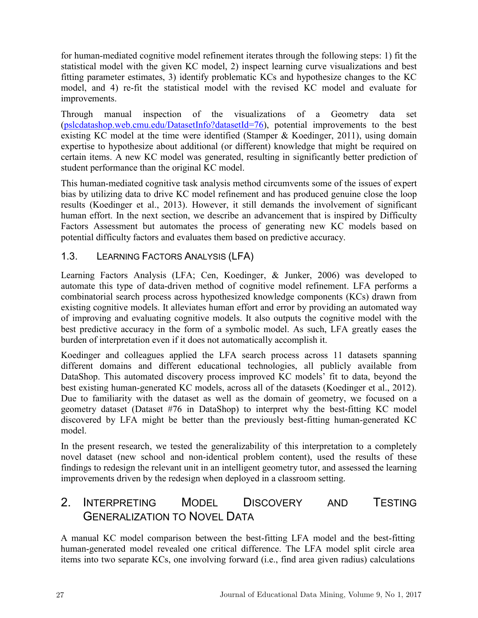for human-mediated cognitive model refinement iterates through the following steps: 1) fit the statistical model with the given KC model, 2) inspect learning curve visualizations and best fitting parameter estimates, 3) identify problematic KCs and hypothesize changes to the KC model, and 4) re-fit the statistical model with the revised KC model and evaluate for improvements.

Through manual inspection of the visualizations of a Geometry data set [\(pslcdatashop.web.cmu.edu/DatasetInfo?datasetId=76\)](http://pslcdatashop.web.cmu.edu/DatasetInfo?datasetId=76), potential improvements to the best existing KC model at the time were identified (Stamper & Koedinger, 2011), using domain expertise to hypothesize about additional (or different) knowledge that might be required on certain items. A new KC model was generated, resulting in significantly better prediction of student performance than the original KC model.

This human-mediated cognitive task analysis method circumvents some of the issues of expert bias by utilizing data to drive KC model refinement and has produced genuine close the loop results (Koedinger et al., 2013). However, it still demands the involvement of significant human effort. In the next section, we describe an advancement that is inspired by Difficulty Factors Assessment but automates the process of generating new KC models based on potential difficulty factors and evaluates them based on predictive accuracy.

#### 1.3. LEARNING FACTORS ANALYSIS (LFA)

Learning Factors Analysis (LFA; Cen, Koedinger, & Junker, 2006) was developed to automate this type of data-driven method of cognitive model refinement. LFA performs a combinatorial search process across hypothesized knowledge components (KCs) drawn from existing cognitive models. It alleviates human effort and error by providing an automated way of improving and evaluating cognitive models. It also outputs the cognitive model with the best predictive accuracy in the form of a symbolic model. As such, LFA greatly eases the burden of interpretation even if it does not automatically accomplish it.

Koedinger and colleagues applied the LFA search process across 11 datasets spanning different domains and different educational technologies, all publicly available from DataShop. This automated discovery process improved KC models' fit to data, beyond the best existing human-generated KC models, across all of the datasets (Koedinger et al., 2012). Due to familiarity with the dataset as well as the domain of geometry, we focused on a geometry dataset (Dataset #76 in DataShop) to interpret why the best-fitting KC model discovered by LFA might be better than the previously best-fitting human-generated KC model.

In the present research, we tested the generalizability of this interpretation to a completely novel dataset (new school and non-identical problem content), used the results of these findings to redesign the relevant unit in an intelligent geometry tutor, and assessed the learning improvements driven by the redesign when deployed in a classroom setting.

## 2. INTERPRETING MODEL DISCOVERY AND TESTING GENERALIZATION TO NOVEL DATA

A manual KC model comparison between the best-fitting LFA model and the best-fitting human-generated model revealed one critical difference. The LFA model split circle area items into two separate KCs, one involving forward (i.e., find area given radius) calculations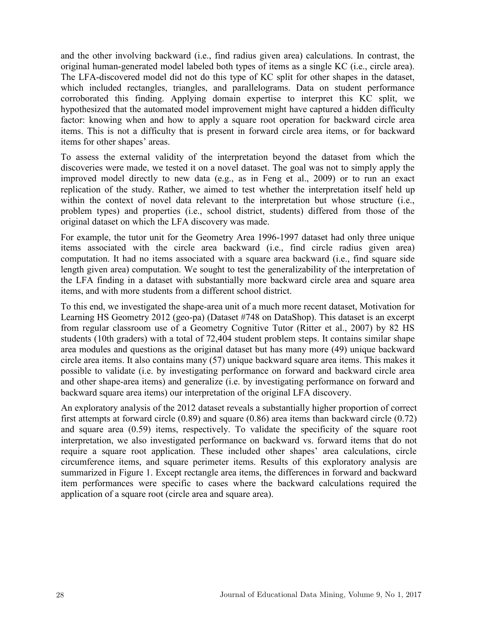and the other involving backward (i.e., find radius given area) calculations. In contrast, the original human-generated model labeled both types of items as a single KC (i.e., circle area). The LFA-discovered model did not do this type of KC split for other shapes in the dataset, which included rectangles, triangles, and parallelograms. Data on student performance corroborated this finding. Applying domain expertise to interpret this KC split, we hypothesized that the automated model improvement might have captured a hidden difficulty factor: knowing when and how to apply a square root operation for backward circle area items. This is not a difficulty that is present in forward circle area items, or for backward items for other shapes' areas.

To assess the external validity of the interpretation beyond the dataset from which the discoveries were made, we tested it on a novel dataset. The goal was not to simply apply the improved model directly to new data (e.g., as in Feng et al., 2009) or to run an exact replication of the study. Rather, we aimed to test whether the interpretation itself held up within the context of novel data relevant to the interpretation but whose structure (i.e., problem types) and properties (i.e., school district, students) differed from those of the original dataset on which the LFA discovery was made.

For example, the tutor unit for the Geometry Area 1996-1997 dataset had only three unique items associated with the circle area backward (i.e., find circle radius given area) computation. It had no items associated with a square area backward (i.e., find square side length given area) computation. We sought to test the generalizability of the interpretation of the LFA finding in a dataset with substantially more backward circle area and square area items, and with more students from a different school district.

To this end, we investigated the shape-area unit of a much more recent dataset, Motivation for Learning HS Geometry 2012 (geo-pa) (Dataset #748 on DataShop). This dataset is an excerpt from regular classroom use of a Geometry Cognitive Tutor (Ritter et al., 2007) by 82 HS students (10th graders) with a total of 72,404 student problem steps. It contains similar shape area modules and questions as the original dataset but has many more (49) unique backward circle area items. It also contains many (57) unique backward square area items. This makes it possible to validate (i.e. by investigating performance on forward and backward circle area and other shape-area items) and generalize (i.e. by investigating performance on forward and backward square area items) our interpretation of the original LFA discovery.

An exploratory analysis of the 2012 dataset reveals a substantially higher proportion of correct first attempts at forward circle (0.89) and square (0.86) area items than backward circle (0.72) and square area (0.59) items, respectively. To validate the specificity of the square root interpretation, we also investigated performance on backward vs. forward items that do not require a square root application. These included other shapes' area calculations, circle circumference items, and square perimeter items. Results of this exploratory analysis are summarized in Figure 1. Except rectangle area items, the differences in forward and backward item performances were specific to cases where the backward calculations required the application of a square root (circle area and square area).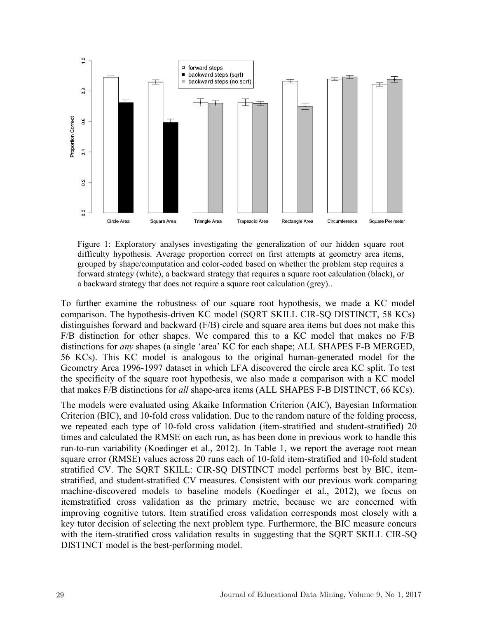

Figure 1: Exploratory analyses investigating the generalization of our hidden square root difficulty hypothesis. Average proportion correct on first attempts at geometry area items, grouped by shape/computation and color-coded based on whether the problem step requires a forward strategy (white), a backward strategy that requires a square root calculation (black), or a backward strategy that does not require a square root calculation (grey)..

To further examine the robustness of our square root hypothesis, we made a KC model comparison. The hypothesis-driven KC model (SQRT SKILL CIR-SQ DISTINCT, 58 KCs) distinguishes forward and backward (F/B) circle and square area items but does not make this F/B distinction for other shapes. We compared this to a KC model that makes no F/B distinctions for *any* shapes (a single 'area' KC for each shape; ALL SHAPES F-B MERGED, 56 KCs). This KC model is analogous to the original human-generated model for the Geometry Area 1996-1997 dataset in which LFA discovered the circle area KC split. To test the specificity of the square root hypothesis, we also made a comparison with a KC model that makes F/B distinctions for *all* shape-area items (ALL SHAPES F-B DISTINCT, 66 KCs).

The models were evaluated using Akaike Information Criterion (AIC), Bayesian Information Criterion (BIC), and 10-fold cross validation. Due to the random nature of the folding process, we repeated each type of 10-fold cross validation (item-stratified and student-stratified) 20 times and calculated the RMSE on each run, as has been done in previous work to handle this run-to-run variability (Koedinger et al., 2012). In Table 1, we report the average root mean square error (RMSE) values across 20 runs each of 10-fold item-stratified and 10-fold student stratified CV. The SQRT SKILL: CIR-SQ DISTINCT model performs best by BIC, itemstratified, and student-stratified CV measures. Consistent with our previous work comparing machine-discovered models to baseline models (Koedinger et al., 2012), we focus on itemstratified cross validation as the primary metric, because we are concerned with improving cognitive tutors. Item stratified cross validation corresponds most closely with a key tutor decision of selecting the next problem type. Furthermore, the BIC measure concurs with the item-stratified cross validation results in suggesting that the SQRT SKILL CIR-SQ DISTINCT model is the best-performing model.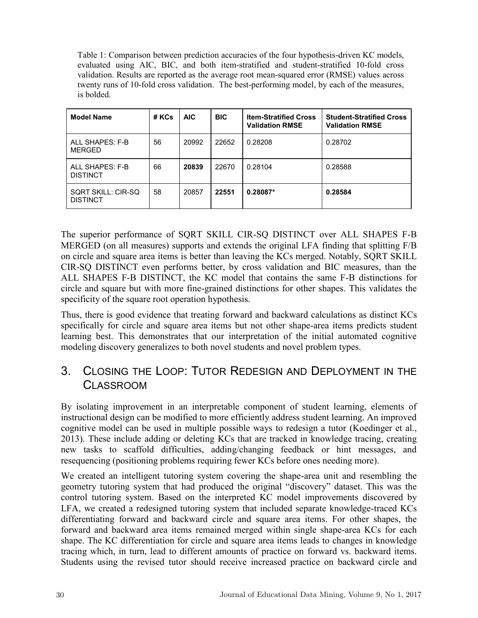Table 1: Comparison between prediction accuracies of the four hypothesis-driven KC models, evaluated using AIC, BIC, and both item-stratified and student-stratified 10-fold cross validation. Results are reported as the average root mean-squared error (RMSE) values across twenty runs of 10-fold cross validation. The best-performing model, by each of the measures, is bolded.

| <b>Model Name</b>                     | # KCs | AIC.  | <b>BIC</b> | <b>Item-Stratified Cross</b><br><b>Validation RMSE</b> | <b>Student-Stratified Cross</b><br><b>Validation RMSE</b> |
|---------------------------------------|-------|-------|------------|--------------------------------------------------------|-----------------------------------------------------------|
| ALL SHAPES: F-B<br>MERGED             | 56    | 20992 | 22652      | 0.28208                                                | 0.28702                                                   |
| ALL SHAPES: F-B<br><b>DISTINCT</b>    | 66    | 20839 | 22670      | 0.28104                                                | 0.28588                                                   |
| SQRT SKILL: CIR-SQ<br><b>DISTINCT</b> | 58    | 20857 | 22551      | $0.28087*$                                             | 0.28584                                                   |

The superior performance of SQRT SKILL CIR-SQ DISTINCT over ALL SHAPES F-B MERGED (on all measures) supports and extends the original LFA finding that splitting F/B on circle and square area items is better than leaving the KCs merged. Notably, SQRT SKILL CIR-SQ DISTINCT even performs better, by cross validation and BIC measures, than the ALL SHAPES F-B DISTINCT, the KC model that contains the same F-B distinctions for circle and square but with more fine-grained distinctions for other shapes. This validates the specificity of the square root operation hypothesis.

Thus, there is good evidence that treating forward and backward calculations as distinct KCs specifically for circle and square area items but not other shape-area items predicts student learning best. This demonstrates that our interpretation of the initial automated cognitive modeling discovery generalizes to both novel students and novel problem types.

## 3. CLOSING THE LOOP: TUTOR REDESIGN AND DEPLOYMENT IN THE CLASSROOM

By isolating improvement in an interpretable component of student learning, elements of instructional design can be modified to more efficiently address student learning. An improved cognitive model can be used in multiple possible ways to redesign a tutor (Koedinger et al., 2013). These include adding or deleting KCs that are tracked in knowledge tracing, creating new tasks to scaffold difficulties, adding/changing feedback or hint messages, and resequencing (positioning problems requiring fewer KCs before ones needing more).

We created an intelligent tutoring system covering the shape-area unit and resembling the geometry tutoring system that had produced the original "discovery" dataset. This was the control tutoring system. Based on the interpreted KC model improvements discovered by LFA, we created a redesigned tutoring system that included separate knowledge-traced KCs differentiating forward and backward circle and square area items. For other shapes, the forward and backward area items remained merged within single shape-area KCs for each shape. The KC differentiation for circle and square area items leads to changes in knowledge tracing which, in turn, lead to different amounts of practice on forward vs. backward items. Students using the revised tutor should receive increased practice on backward circle and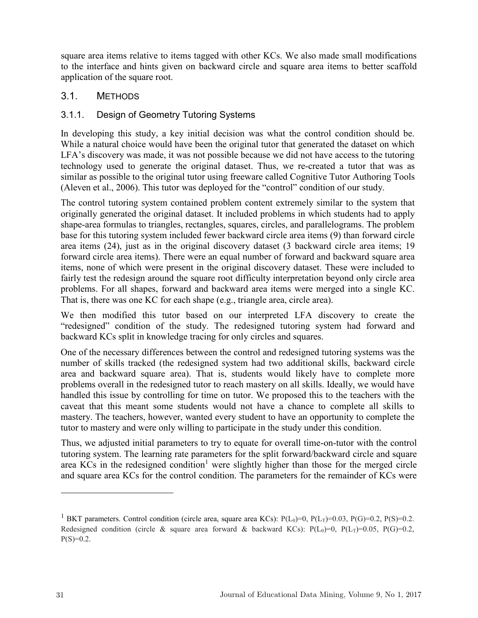square area items relative to items tagged with other KCs. We also made small modifications to the interface and hints given on backward circle and square area items to better scaffold application of the square root.

#### 3.1. METHODS

#### 3.1.1. Design of Geometry Tutoring Systems

In developing this study, a key initial decision was what the control condition should be. While a natural choice would have been the original tutor that generated the dataset on which LFA's discovery was made, it was not possible because we did not have access to the tutoring technology used to generate the original dataset. Thus, we re-created a tutor that was as similar as possible to the original tutor using freeware called Cognitive Tutor Authoring Tools (Aleven et al., 2006). This tutor was deployed for the "control" condition of our study.

The control tutoring system contained problem content extremely similar to the system that originally generated the original dataset. It included problems in which students had to apply shape-area formulas to triangles, rectangles, squares, circles, and parallelograms. The problem base for this tutoring system included fewer backward circle area items (9) than forward circle area items (24), just as in the original discovery dataset (3 backward circle area items; 19 forward circle area items). There were an equal number of forward and backward square area items, none of which were present in the original discovery dataset. These were included to fairly test the redesign around the square root difficulty interpretation beyond only circle area problems. For all shapes, forward and backward area items were merged into a single KC. That is, there was one KC for each shape (e.g., triangle area, circle area).

We then modified this tutor based on our interpreted LFA discovery to create the "redesigned" condition of the study. The redesigned tutoring system had forward and backward KCs split in knowledge tracing for only circles and squares.

One of the necessary differences between the control and redesigned tutoring systems was the number of skills tracked (the redesigned system had two additional skills, backward circle area and backward square area). That is, students would likely have to complete more problems overall in the redesigned tutor to reach mastery on all skills. Ideally, we would have handled this issue by controlling for time on tutor. We proposed this to the teachers with the caveat that this meant some students would not have a chance to complete all skills to mastery. The teachers, however, wanted every student to have an opportunity to complete the tutor to mastery and were only willing to participate in the study under this condition.

Thus, we adjusted initial parameters to try to equate for overall time-on-tutor with the control tutoring system. The learning rate parameters for the split forward/backward circle and square area KCs in the redesigned condition<sup>1</sup> were slightly higher than those for the merged circle and square area KCs for the control condition. The parameters for the remainder of KCs were

 $\overline{a}$ 

<sup>&</sup>lt;sup>1</sup> BKT parameters. Control condition (circle area, square area KCs):  $P(L_0)=0$ ,  $P(L_T)=0.03$ ,  $P(G)=0.2$ ,  $P(S)=0.2$ . Redesigned condition (circle & square area forward & backward KCs):  $P(L_0)=0$ ,  $P(L_T)=0.05$ ,  $P(G)=0.2$ ,  $P(S)=0.2$ .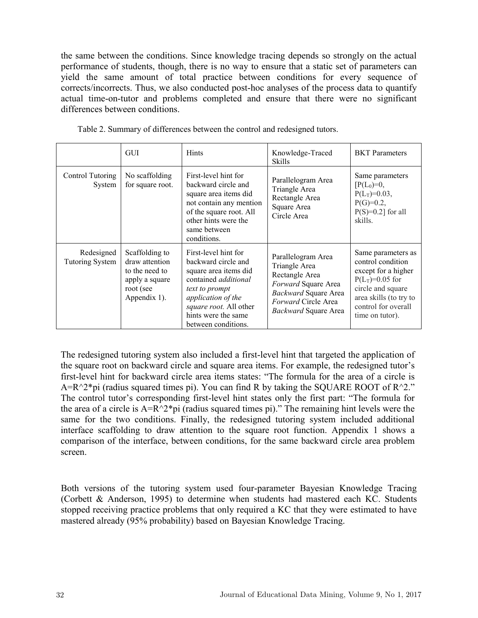the same between the conditions. Since knowledge tracing depends so strongly on the actual performance of students, though, there is no way to ensure that a static set of parameters can yield the same amount of total practice between conditions for every sequence of corrects/incorrects. Thus, we also conducted post-hoc analyses of the process data to quantify actual time-on-tutor and problems completed and ensure that there were no significant differences between conditions.

|                                      | <b>GUI</b>                                                                                        | <b>Hints</b>                                                                                                                                                                                                        | Knowledge-Traced<br><b>Skills</b>                                                                                                                   | <b>BKT</b> Parameters                                                                                                                                                        |
|--------------------------------------|---------------------------------------------------------------------------------------------------|---------------------------------------------------------------------------------------------------------------------------------------------------------------------------------------------------------------------|-----------------------------------------------------------------------------------------------------------------------------------------------------|------------------------------------------------------------------------------------------------------------------------------------------------------------------------------|
| Control Tutoring<br>System           | No scaffolding<br>for square root.                                                                | First-level hint for<br>backward circle and<br>square area items did<br>not contain any mention<br>of the square root. All<br>other hints were the<br>same between<br>conditions.                                   | Parallelogram Area<br>Triangle Area<br>Rectangle Area<br>Square Area<br>Circle Area                                                                 | Same parameters<br>$[P(L_0)=0,$<br>$P(L_T)=0.03$ ,<br>$P(G)=0.2$ ,<br>$P(S)=0.2$ ] for all<br>skills.                                                                        |
| Redesigned<br><b>Tutoring System</b> | Scaffolding to<br>draw attention<br>to the need to<br>apply a square<br>root (see<br>Appendix 1). | First-level hint for<br>backward circle and<br>square area items did<br>contained <i>additional</i><br>text to prompt<br>application of the<br>square root. All other<br>hints were the same<br>between conditions. | Parallelogram Area<br>Triangle Area<br>Rectangle Area<br>Forward Square Area<br>Backward Square Area<br>Forward Circle Area<br>Backward Square Area | Same parameters as<br>control condition<br>except for a higher<br>$P(L_T)=0.05$ for<br>circle and square<br>area skills (to try to<br>control for overall<br>time on tutor). |

Table 2. Summary of differences between the control and redesigned tutors.

The redesigned tutoring system also included a first-level hint that targeted the application of the square root on backward circle and square area items. For example, the redesigned tutor's first-level hint for backward circle area items states: "The formula for the area of a circle is  $A=R^2*pi$  (radius squared times pi). You can find R by taking the SQUARE ROOT of R^2." The control tutor's corresponding first-level hint states only the first part: "The formula for the area of a circle is  $A=R^2*pi$  (radius squared times pi)." The remaining hint levels were the same for the two conditions. Finally, the redesigned tutoring system included additional interface scaffolding to draw attention to the square root function. Appendix 1 shows a comparison of the interface, between conditions, for the same backward circle area problem screen.

Both versions of the tutoring system used four-parameter Bayesian Knowledge Tracing (Corbett & Anderson, 1995) to determine when students had mastered each KC. Students stopped receiving practice problems that only required a KC that they were estimated to have mastered already (95% probability) based on Bayesian Knowledge Tracing.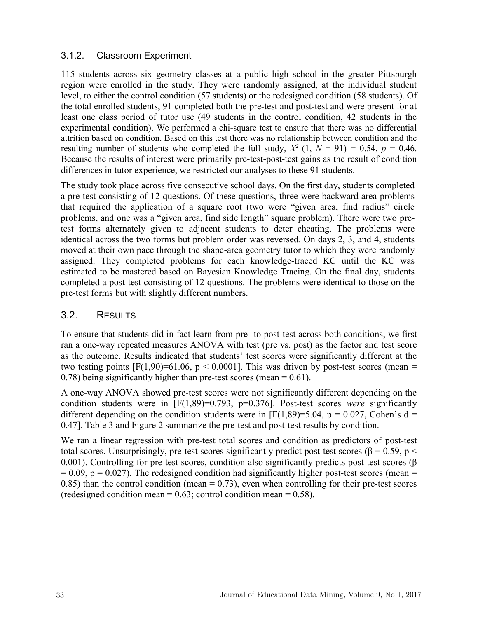#### 3.1.2. Classroom Experiment

115 students across six geometry classes at a public high school in the greater Pittsburgh region were enrolled in the study. They were randomly assigned, at the individual student level, to either the control condition (57 students) or the redesigned condition (58 students). Of the total enrolled students, 91 completed both the pre-test and post-test and were present for at least one class period of tutor use (49 students in the control condition, 42 students in the experimental condition). We performed a chi-square test to ensure that there was no differential attrition based on condition. Based on this test there was no relationship between condition and the resulting number of students who completed the full study,  $X^2$  (1,  $N = 91$ ) = 0.54,  $p = 0.46$ . Because the results of interest were primarily pre-test-post-test gains as the result of condition differences in tutor experience, we restricted our analyses to these 91 students.

The study took place across five consecutive school days. On the first day, students completed a pre-test consisting of 12 questions. Of these questions, three were backward area problems that required the application of a square root (two were "given area, find radius" circle problems, and one was a "given area, find side length" square problem). There were two pretest forms alternately given to adjacent students to deter cheating. The problems were identical across the two forms but problem order was reversed. On days 2, 3, and 4, students moved at their own pace through the shape-area geometry tutor to which they were randomly assigned. They completed problems for each knowledge-traced KC until the KC was estimated to be mastered based on Bayesian Knowledge Tracing. On the final day, students completed a post-test consisting of 12 questions. The problems were identical to those on the pre-test forms but with slightly different numbers.

#### 3.2. RESULTS

To ensure that students did in fact learn from pre- to post-test across both conditions, we first ran a one-way repeated measures ANOVA with test (pre vs. post) as the factor and test score as the outcome. Results indicated that students' test scores were significantly different at the two testing points  $[F(1,90)=61.06, p < 0.0001]$ . This was driven by post-test scores (mean = 0.78) being significantly higher than pre-test scores (mean  $= 0.61$ ).

A one-way ANOVA showed pre-test scores were not significantly different depending on the condition students were in [F(1,89)=0.793, p=0.376]. Post-test scores *were* significantly different depending on the condition students were in [F(1,89)=5.04, p = 0.027, Cohen's d = 0.47]. Table 3 and Figure 2 summarize the pre-test and post-test results by condition.

We ran a linear regression with pre-test total scores and condition as predictors of post-test total scores. Unsurprisingly, pre-test scores significantly predict post-test scores ( $\beta$  = 0.59, p < 0.001). Controlling for pre-test scores, condition also significantly predicts post-test scores ( $\beta$ )  $= 0.09$ ,  $p = 0.027$ ). The redesigned condition had significantly higher post-test scores (mean  $=$ 0.85) than the control condition (mean  $= 0.73$ ), even when controlling for their pre-test scores (redesigned condition mean  $= 0.63$ ; control condition mean  $= 0.58$ ).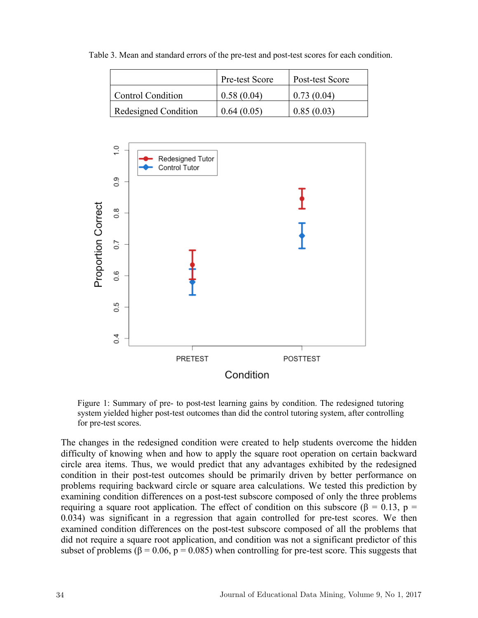|                      | <b>Pre-test Score</b> | Post-test Score |
|----------------------|-----------------------|-----------------|
| Control Condition    | 0.58(0.04)            | 0.73(0.04)      |
| Redesigned Condition | 0.64(0.05)            | 0.85(0.03)      |

Table 3. Mean and standard errors of the pre-test and post-test scores for each condition.



Figure 1: Summary of pre- to post-test learning gains by condition. The redesigned tutoring system yielded higher post-test outcomes than did the control tutoring system, after controlling for pre-test scores.

The changes in the redesigned condition were created to help students overcome the hidden difficulty of knowing when and how to apply the square root operation on certain backward circle area items. Thus, we would predict that any advantages exhibited by the redesigned condition in their post-test outcomes should be primarily driven by better performance on problems requiring backward circle or square area calculations. We tested this prediction by examining condition differences on a post-test subscore composed of only the three problems requiring a square root application. The effect of condition on this subscore (β = 0.13, p = 0.034) was significant in a regression that again controlled for pre-test scores. We then examined condition differences on the post-test subscore composed of all the problems that did not require a square root application, and condition was not a significant predictor of this subset of problems ( $\beta$  = 0.06, p = 0.085) when controlling for pre-test score. This suggests that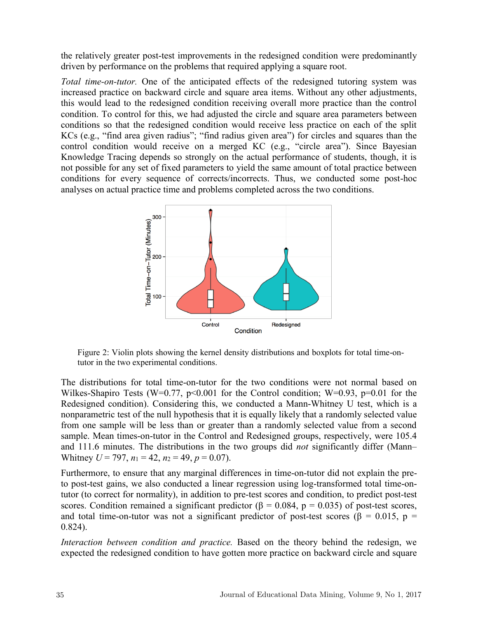the relatively greater post-test improvements in the redesigned condition were predominantly driven by performance on the problems that required applying a square root.

*Total time-on-tutor.* One of the anticipated effects of the redesigned tutoring system was increased practice on backward circle and square area items. Without any other adjustments, this would lead to the redesigned condition receiving overall more practice than the control condition. To control for this, we had adjusted the circle and square area parameters between conditions so that the redesigned condition would receive less practice on each of the split KCs (e.g., "find area given radius"; "find radius given area") for circles and squares than the control condition would receive on a merged KC (e.g., "circle area"). Since Bayesian Knowledge Tracing depends so strongly on the actual performance of students, though, it is not possible for any set of fixed parameters to yield the same amount of total practice between conditions for every sequence of corrects/incorrects. Thus, we conducted some post-hoc analyses on actual practice time and problems completed across the two conditions.



Figure 2: Violin plots showing the kernel density distributions and boxplots for total time-ontutor in the two experimental conditions.

The distributions for total time-on-tutor for the two conditions were not normal based on Wilkes-Shapiro Tests (W=0.77,  $p<0.001$  for the Control condition; W=0.93,  $p=0.01$  for the Redesigned condition). Considering this, we conducted a Mann-Whitney U test, which is a nonparametric test of the null hypothesis that it is equally likely that a randomly selected value from one sample will be less than or greater than a randomly selected value from a second sample. Mean times-on-tutor in the Control and Redesigned groups, respectively, were 105.4 and 111.6 minutes. The distributions in the two groups did *not* significantly differ (Mann– Whitney  $U = 797$ ,  $n_1 = 42$ ,  $n_2 = 49$ ,  $p = 0.07$ ).

Furthermore, to ensure that any marginal differences in time-on-tutor did not explain the preto post-test gains, we also conducted a linear regression using log-transformed total time-ontutor (to correct for normality), in addition to pre-test scores and condition, to predict post-test scores. Condition remained a significant predictor ( $\beta = 0.084$ ,  $p = 0.035$ ) of post-test scores, and total time-on-tutor was not a significant predictor of post-test scores ( $\beta = 0.015$ ,  $p =$ 0.824).

*Interaction between condition and practice.* Based on the theory behind the redesign, we expected the redesigned condition to have gotten more practice on backward circle and square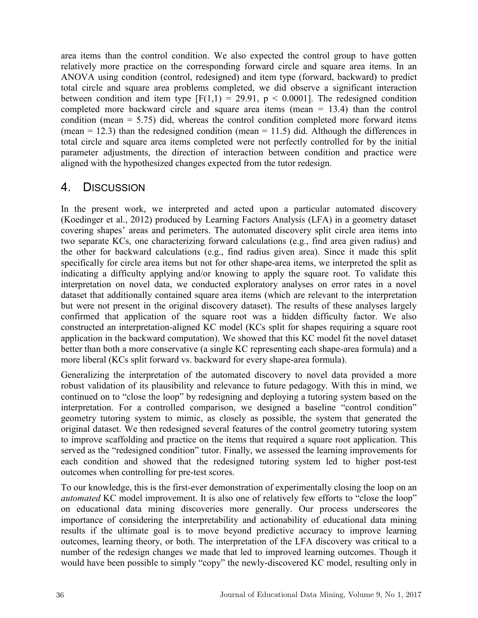area items than the control condition. We also expected the control group to have gotten relatively more practice on the corresponding forward circle and square area items. In an ANOVA using condition (control, redesigned) and item type (forward, backward) to predict total circle and square area problems completed, we did observe a significant interaction between condition and item type  $[F(1,1) = 29.91, p < 0.0001]$ . The redesigned condition completed more backward circle and square area items (mean = 13.4) than the control condition (mean  $= 5.75$ ) did, whereas the control condition completed more forward items (mean  $= 12.3$ ) than the redesigned condition (mean  $= 11.5$ ) did. Although the differences in total circle and square area items completed were not perfectly controlled for by the initial parameter adjustments, the direction of interaction between condition and practice were aligned with the hypothesized changes expected from the tutor redesign.

## 4. DISCUSSION

In the present work, we interpreted and acted upon a particular automated discovery (Koedinger et al., 2012) produced by Learning Factors Analysis (LFA) in a geometry dataset covering shapes' areas and perimeters. The automated discovery split circle area items into two separate KCs, one characterizing forward calculations (e.g., find area given radius) and the other for backward calculations (e.g., find radius given area). Since it made this split specifically for circle area items but not for other shape-area items, we interpreted the split as indicating a difficulty applying and/or knowing to apply the square root. To validate this interpretation on novel data, we conducted exploratory analyses on error rates in a novel dataset that additionally contained square area items (which are relevant to the interpretation but were not present in the original discovery dataset). The results of these analyses largely confirmed that application of the square root was a hidden difficulty factor. We also constructed an interpretation-aligned KC model (KCs split for shapes requiring a square root application in the backward computation). We showed that this KC model fit the novel dataset better than both a more conservative (a single KC representing each shape-area formula) and a more liberal (KCs split forward vs. backward for every shape-area formula).

Generalizing the interpretation of the automated discovery to novel data provided a more robust validation of its plausibility and relevance to future pedagogy. With this in mind, we continued on to "close the loop" by redesigning and deploying a tutoring system based on the interpretation. For a controlled comparison, we designed a baseline "control condition" geometry tutoring system to mimic, as closely as possible, the system that generated the original dataset. We then redesigned several features of the control geometry tutoring system to improve scaffolding and practice on the items that required a square root application. This served as the "redesigned condition" tutor. Finally, we assessed the learning improvements for each condition and showed that the redesigned tutoring system led to higher post-test outcomes when controlling for pre-test scores.

To our knowledge, this is the first-ever demonstration of experimentally closing the loop on an *automated* KC model improvement. It is also one of relatively few efforts to "close the loop" on educational data mining discoveries more generally. Our process underscores the importance of considering the interpretability and actionability of educational data mining results if the ultimate goal is to move beyond predictive accuracy to improve learning outcomes, learning theory, or both. The interpretation of the LFA discovery was critical to a number of the redesign changes we made that led to improved learning outcomes. Though it would have been possible to simply "copy" the newly-discovered KC model, resulting only in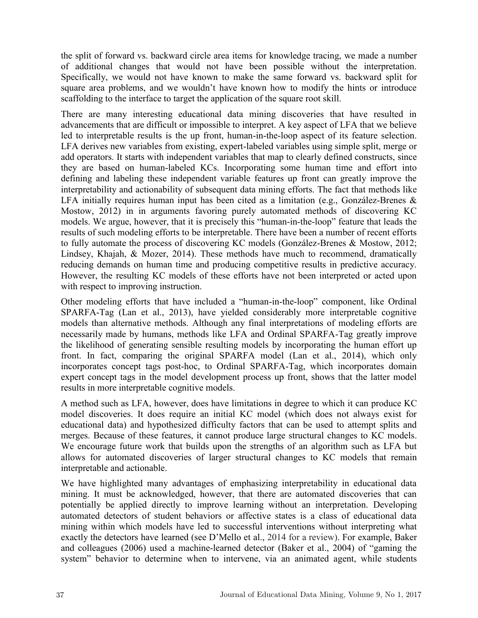the split of forward vs. backward circle area items for knowledge tracing, we made a number of additional changes that would not have been possible without the interpretation. Specifically, we would not have known to make the same forward vs. backward split for square area problems, and we wouldn't have known how to modify the hints or introduce scaffolding to the interface to target the application of the square root skill.

There are many interesting educational data mining discoveries that have resulted in advancements that are difficult or impossible to interpret. A key aspect of LFA that we believe led to interpretable results is the up front, human-in-the-loop aspect of its feature selection. LFA derives new variables from existing, expert-labeled variables using simple split, merge or add operators. It starts with independent variables that map to clearly defined constructs, since they are based on human-labeled KCs. Incorporating some human time and effort into defining and labeling these independent variable features up front can greatly improve the interpretability and actionability of subsequent data mining efforts. The fact that methods like LFA initially requires human input has been cited as a limitation (e.g., González-Brenes & Mostow, 2012) in in arguments favoring purely automated methods of discovering KC models. We argue, however, that it is precisely this "human-in-the-loop" feature that leads the results of such modeling efforts to be interpretable. There have been a number of recent efforts to fully automate the process of discovering KC models (González-Brenes & Mostow, 2012; Lindsey, Khajah, & Mozer, 2014). These methods have much to recommend, dramatically reducing demands on human time and producing competitive results in predictive accuracy. However, the resulting KC models of these efforts have not been interpreted or acted upon with respect to improving instruction.

Other modeling efforts that have included a "human-in-the-loop" component, like Ordinal SPARFA-Tag (Lan et al., 2013), have yielded considerably more interpretable cognitive models than alternative methods. Although any final interpretations of modeling efforts are necessarily made by humans, methods like LFA and Ordinal SPARFA-Tag greatly improve the likelihood of generating sensible resulting models by incorporating the human effort up front. In fact, comparing the original SPARFA model (Lan et al., 2014), which only incorporates concept tags post-hoc, to Ordinal SPARFA-Tag, which incorporates domain expert concept tags in the model development process up front, shows that the latter model results in more interpretable cognitive models.

A method such as LFA, however, does have limitations in degree to which it can produce KC model discoveries. It does require an initial KC model (which does not always exist for educational data) and hypothesized difficulty factors that can be used to attempt splits and merges. Because of these features, it cannot produce large structural changes to KC models. We encourage future work that builds upon the strengths of an algorithm such as LFA but allows for automated discoveries of larger structural changes to KC models that remain interpretable and actionable.

We have highlighted many advantages of emphasizing interpretability in educational data mining. It must be acknowledged, however, that there are automated discoveries that can potentially be applied directly to improve learning without an interpretation. Developing automated detectors of student behaviors or affective states is a class of educational data mining within which models have led to successful interventions without interpreting what exactly the detectors have learned (see D'Mello et al., 2014 for a review). For example, Baker and colleagues (2006) used a machine-learned detector (Baker et al., 2004) of "gaming the system" behavior to determine when to intervene, via an animated agent, while students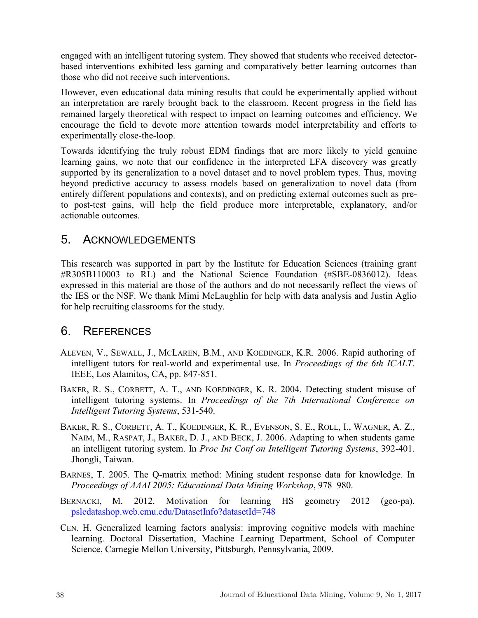engaged with an intelligent tutoring system. They showed that students who received detectorbased interventions exhibited less gaming and comparatively better learning outcomes than those who did not receive such interventions.

However, even educational data mining results that could be experimentally applied without an interpretation are rarely brought back to the classroom. Recent progress in the field has remained largely theoretical with respect to impact on learning outcomes and efficiency. We encourage the field to devote more attention towards model interpretability and efforts to experimentally close-the-loop.

Towards identifying the truly robust EDM findings that are more likely to yield genuine learning gains, we note that our confidence in the interpreted LFA discovery was greatly supported by its generalization to a novel dataset and to novel problem types. Thus, moving beyond predictive accuracy to assess models based on generalization to novel data (from entirely different populations and contexts), and on predicting external outcomes such as preto post-test gains, will help the field produce more interpretable, explanatory, and/or actionable outcomes.

### 5. ACKNOWLEDGEMENTS

This research was supported in part by the Institute for Education Sciences (training grant #R305B110003 to RL) and the National Science Foundation (#SBE-0836012). Ideas expressed in this material are those of the authors and do not necessarily reflect the views of the IES or the NSF. We thank Mimi McLaughlin for help with data analysis and Justin Aglio for help recruiting classrooms for the study.

## 6. REFERENCES

- ALEVEN, V., SEWALL, J., MCLAREN, B.M., AND KOEDINGER, K.R. 2006. Rapid authoring of intelligent tutors for real-world and experimental use. In *Proceedings of the 6th ICALT*. IEEE, Los Alamitos, CA, pp. 847-851.
- BAKER, R. S., CORBETT, A. T., AND KOEDINGER, K. R. 2004. Detecting student misuse of intelligent tutoring systems. In *Proceedings of the 7th International Conference on Intelligent Tutoring Systems*, 531-540.
- BAKER, R. S., CORBETT, A. T., KOEDINGER, K. R., EVENSON, S. E., ROLL, I., WAGNER, A. Z., NAIM, M., RASPAT, J., BAKER, D. J., AND BECK, J. 2006. Adapting to when students game an intelligent tutoring system. In *Proc Int Conf on Intelligent Tutoring Systems*, 392-401. Jhongli, Taiwan.
- BARNES, T. 2005. The Q-matrix method: Mining student response data for knowledge. In *Proceedings of AAAI 2005: Educational Data Mining Workshop*, 978–980.
- BERNACKI, M. 2012. Motivation for learning HS geometry 2012 (geo-pa). [pslcdatashop.web.cmu.edu/DatasetInfo?datasetId=748](http://pslcdatashop.web.cmu.edu/DatasetInfo?datasetId=748)
- CEN. H. Generalized learning factors analysis: improving cognitive models with machine learning. Doctoral Dissertation, Machine Learning Department, School of Computer Science, Carnegie Mellon University, Pittsburgh, Pennsylvania, 2009.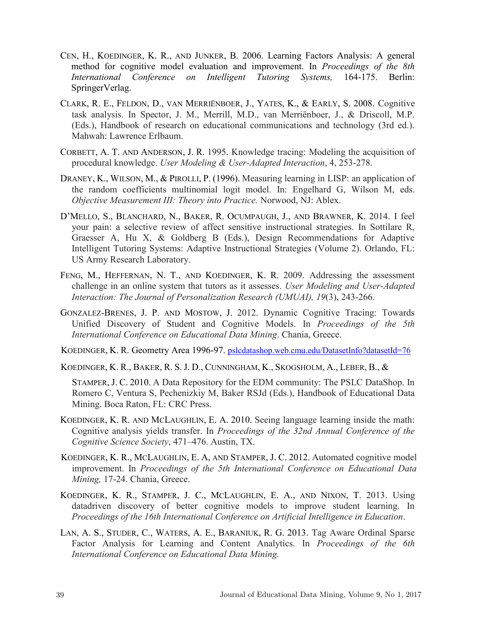- CEN, H., KOEDINGER, K. R., AND JUNKER, B. 2006. Learning Factors Analysis: A general method for cognitive model evaluation and improvement. In *Proceedings of the 8th International Conference on Intelligent Tutoring Systems,* 164-175. Berlin: SpringerVerlag.
- CLARK, R. E., FELDON, D., VAN MERRIËNBOER, J., YATES, K., & EARLY, S. 2008. Cognitive task analysis. In Spector, J. M., Merrill, M.D., van Merriënboer, J., & Driscoll, M.P. (Eds.), Handbook of research on educational communications and technology (3rd ed.). Mahwah: Lawrence Erlbaum.
- CORBETT, A. T. AND ANDERSON, J. R. 1995. Knowledge tracing: Modeling the acquisition of procedural knowledge. *User Modeling & User-Adapted Interaction*, 4, 253-278.
- DRANEY, K., WILSON, M., & PIROLLI, P. (1996). Measuring learning in LISP: an application of the random coefficients multinomial logit model. In: Engelhard G, Wilson M, eds. *Objective Measurement III: Theory into Practice.* Norwood, NJ: Ablex.
- D'MELLO, S., BLANCHARD, N., BAKER, R. OCUMPAUGH, J., AND BRAWNER, K. 2014. I feel your pain: a selective review of affect sensitive instructional strategies. In Sottilare R, Graesser A, Hu X, & Goldberg B (Eds.), Design Recommendations for Adaptive Intelligent Tutoring Systems: Adaptive Instructional Strategies (Volume 2). Orlando, FL: US Army Research Laboratory.
- FENG, M., HEFFERNAN, N. T., AND KOEDINGER, K. R. 2009. Addressing the assessment challenge in an online system that tutors as it assesses. *User Modeling and User-Adapted Interaction: The Journal of Personalization Research (UMUAI), 19*(3), 243-266.
- GONZALEZ-BRENES, J. P. AND MOSTOW, J. 2012. Dynamic Cognitive Tracing: Towards Unified Discovery of Student and Cognitive Models. In *Proceedings of the 5th International Conference on Educational Data Mining*. Chania, Greece.
- KOEDINGER, K. R. Geometry Area 1996-97. [pslcdatashop.web.cmu.edu/DatasetInfo?datasetId=76](http://pslcdatashop.web.cmu.edu/DatasetInfo?datasetId=76)
- KOEDINGER, K. R., BAKER, R. S.J. D., CUNNINGHAM, K., SKOGSHOLM, A., LEBER, B., &

STAMPER, J. C. 2010. A Data Repository for the EDM community: The PSLC DataShop. In Romero C, Ventura S, Pechenizkiy M, Baker RSJd (Eds.), Handbook of Educational Data Mining. Boca Raton, FL: CRC Press.

- KOEDINGER, K. R. AND MCLAUGHLIN, E. A. 2010. Seeing language learning inside the math: Cognitive analysis yields transfer. In *Proceedings of the 32nd Annual Conference of the Cognitive Science Society*, 471–476. Austin, TX.
- KOEDINGER, K. R., MCLAUGHLIN, E. A, AND STAMPER, J. C. 2012. Automated cognitive model improvement. In *Proceedings of the 5th International Conference on Educational Data Mining,* 17-24. Chania, Greece.
- KOEDINGER, K. R., STAMPER, J. C., MCLAUGHLIN, E. A., AND NIXON, T. 2013. Using datadriven discovery of better cognitive models to improve student learning. In *Proceedings of the 16th International Conference on Artificial Intelligence in Education*.
- LAN, A. S., STUDER, C., WATERS, A. E., BARANIUK, R. G. 2013. Tag Aware Ordinal Sparse Factor Analysis for Learning and Content Analytics. In *Proceedings of the 6th International Conference on Educational Data Mining.*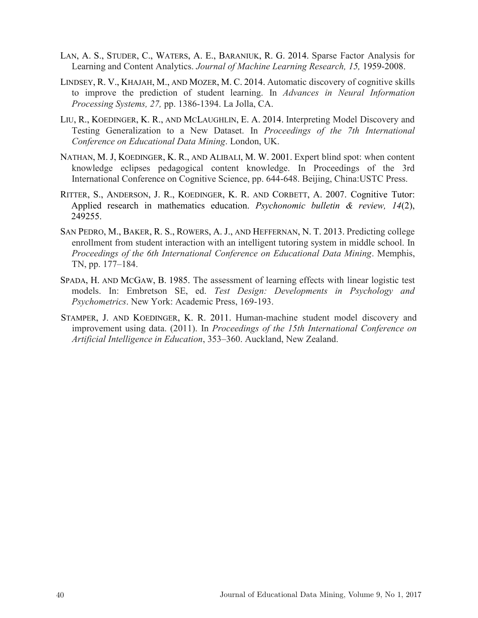- LAN, A. S., STUDER, C., WATERS, A. E., BARANIUK, R. G. 2014. Sparse Factor Analysis for Learning and Content Analytics. *Journal of Machine Learning Research, 15,* 1959-2008.
- LINDSEY, R. V., KHAJAH, M., AND MOZER, M. C. 2014. Automatic discovery of cognitive skills to improve the prediction of student learning. In *Advances in Neural Information Processing Systems, 27,* pp. 1386-1394. La Jolla, CA.
- LIU, R., KOEDINGER, K. R., AND MCLAUGHLIN, E. A. 2014. Interpreting Model Discovery and Testing Generalization to a New Dataset. In *Proceedings of the 7th International Conference on Educational Data Mining*. London, UK.
- NATHAN, M. J, KOEDINGER, K. R., AND ALIBALI, M. W. 2001. Expert blind spot: when content knowledge eclipses pedagogical content knowledge. In Proceedings of the 3rd International Conference on Cognitive Science, pp. 644-648. Beijing, China:USTC Press.
- RITTER, S., ANDERSON, J. R., KOEDINGER, K. R. AND CORBETT, A. 2007. Cognitive Tutor: Applied research in mathematics education. *Psychonomic bulletin & review, 14*(2), 249255.
- SAN PEDRO, M., BAKER, R. S., ROWERS, A. J., AND HEFFERNAN, N. T. 2013. Predicting college enrollment from student interaction with an intelligent tutoring system in middle school. In *Proceedings of the 6th International Conference on Educational Data Mining*. Memphis, TN, pp. 177–184.
- SPADA, H. AND MCGAW, B. 1985. The assessment of learning effects with linear logistic test models. In: Embretson SE, ed. *Test Design: Developments in Psychology and Psychometrics*. New York: Academic Press, 169-193.
- STAMPER, J. AND KOEDINGER, K. R. 2011. Human-machine student model discovery and improvement using data. (2011). In *Proceedings of the 15th International Conference on Artificial Intelligence in Education*, 353–360. Auckland, New Zealand.